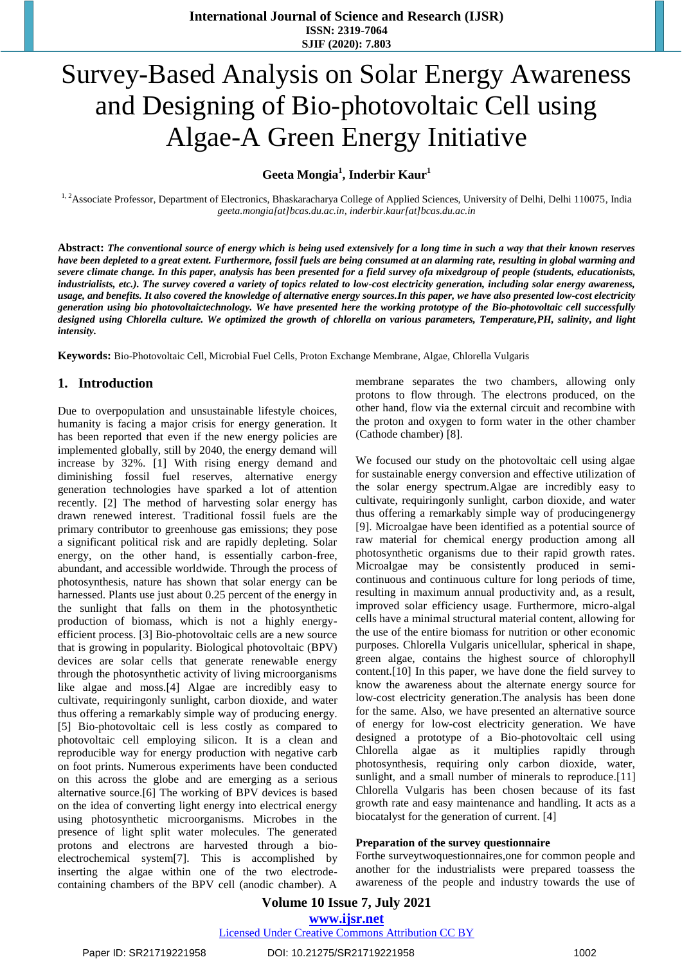# Survey-Based Analysis on Solar Energy Awareness and Designing of Bio-photovoltaic Cell using Algae-A Green Energy Initiative

**Geeta Mongia<sup>1</sup> , Inderbir Kaur<sup>1</sup>**

<sup>1, 2</sup>Associate Professor, Department of Electronics, Bhaskaracharya College of Applied Sciences, University of Delhi, Delhi 110075, India *geeta.mongia[at]bcas.du.ac.in, inderbir.kaur[at]bcas.du.ac.in*

**Abstract:** *The conventional source of energy which is being used extensively for a long time in such a way that their known reserves have been depleted to a great extent. Furthermore, fossil fuels are being consumed at an alarming rate, resulting in global warming and severe climate change. In this paper, analysis has been presented for a field survey ofa mixedgroup of people (students, educationists, industrialists, etc.). The survey covered a variety of topics related to low-cost electricity generation, including solar energy awareness, usage, and benefits. It also covered the knowledge of alternative energy sources.In this paper, we have also presented low-cost electricity generation using bio photovoltaictechnology. We have presented here the working prototype of the Bio-photovoltaic cell successfully designed using Chlorella culture. We optimized the growth of chlorella on various parameters, Temperature,PH, salinity, and light intensity.*

**Keywords:** Bio-Photovoltaic Cell, Microbial Fuel Cells, Proton Exchange Membrane, Algae, Chlorella Vulgaris

## **1. Introduction**

Due to overpopulation and unsustainable lifestyle choices, humanity is facing a major crisis for energy generation. It has been reported that even if the new energy policies are implemented globally, still by 2040, the energy demand will increase by 32%. [1] With rising energy demand and diminishing fossil fuel reserves, alternative energy generation technologies have sparked a lot of attention recently. [2] The method of harvesting solar energy has drawn renewed interest. Traditional fossil fuels are the primary contributor to greenhouse gas emissions; they pose a significant political risk and are rapidly depleting. Solar energy, on the other hand, is essentially carbon-free, abundant, and accessible worldwide. Through the process of photosynthesis, nature has shown that solar energy can be harnessed. Plants use just about 0.25 percent of the energy in the sunlight that falls on them in the photosynthetic production of biomass, which is not a highly energyefficient process. [3] Bio-photovoltaic cells are a new source that is growing in popularity. Biological photovoltaic (BPV) devices are solar cells that generate renewable energy through the photosynthetic activity of living microorganisms like algae and moss.[4] Algae are incredibly easy to cultivate, requiringonly sunlight, carbon dioxide, and water thus offering a remarkably simple way of producing energy. [5] Bio-photovoltaic cell is less costly as compared to photovoltaic cell employing silicon. It is a clean and reproducible way for energy production with negative carb on foot prints. Numerous experiments have been conducted on this across the globe and are emerging as a serious alternative source.[6] The working of BPV devices is based on the idea of converting light energy into electrical energy using photosynthetic microorganisms. Microbes in the presence of light split water molecules. The generated protons and electrons are harvested through a bioelectrochemical system[7]. This is accomplished by inserting the algae within one of the two electrodecontaining chambers of the BPV cell (anodic chamber). A

membrane separates the two chambers, allowing only protons to flow through. The electrons produced, on the other hand, flow via the external circuit and recombine with the proton and oxygen to form water in the other chamber (Cathode chamber) [8].

We focused our study on the photovoltaic cell using algae for sustainable energy conversion and effective utilization of the solar energy spectrum.Algae are incredibly easy to cultivate, requiringonly sunlight, carbon dioxide, and water thus offering a remarkably simple way of producingenergy [9]. Microalgae have been identified as a potential source of raw material for chemical energy production among all photosynthetic organisms due to their rapid growth rates. Microalgae may be consistently produced in semicontinuous and continuous culture for long periods of time, resulting in maximum annual productivity and, as a result, improved solar efficiency usage. Furthermore, micro-algal cells have a minimal structural material content, allowing for the use of the entire biomass for nutrition or other economic purposes. Chlorella Vulgaris unicellular, spherical in shape, green algae, contains the highest source of chlorophyll content.[10] In this paper, we have done the field survey to know the awareness about the alternate energy source for low-cost electricity generation.The analysis has been done for the same. Also, we have presented an alternative source of energy for low-cost electricity generation. We have designed a prototype of a Bio-photovoltaic cell using Chlorella algae as it multiplies rapidly through photosynthesis, requiring only carbon dioxide, water, sunlight, and a small number of minerals to reproduce.<sup>[11]</sup> Chlorella Vulgaris has been chosen because of its fast growth rate and easy maintenance and handling. It acts as a biocatalyst for the generation of current. [4]

#### **Preparation of the survey questionnaire**

Forthe surveytwoquestionnaires,one for common people and another for the industrialists were prepared toassess the awareness of the people and industry towards the use of

## **Volume 10 Issue 7, July 2021 www.ijsr.net**

Licensed Under Creative Commons Attribution CC BY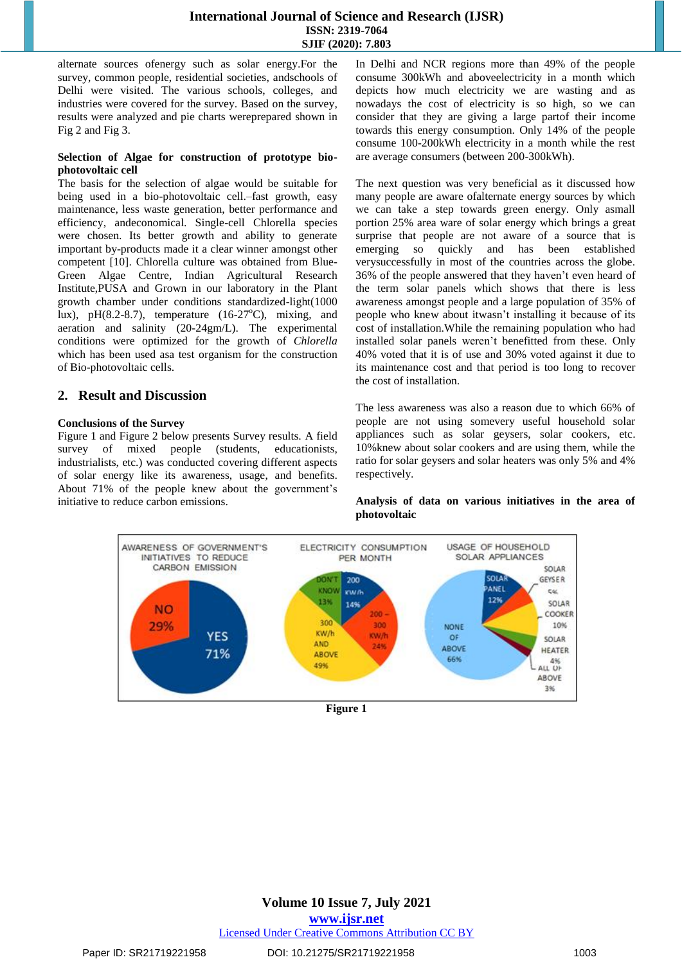alternate sources ofenergy such as solar energy.For the survey, common people, residential societies, andschools of Delhi were visited. The various schools, colleges, and industries were covered for the survey. Based on the survey, results were analyzed and pie charts wereprepared shown in Fig 2 and Fig 3.

#### **Selection of Algae for construction of prototype biophotovoltaic cell**

The basis for the selection of algae would be suitable for being used in a bio-photovoltaic cell.–fast growth, easy maintenance, less waste generation, better performance and efficiency, andeconomical. Single-cell Chlorella species were chosen. Its better growth and ability to generate important by-products made it a clear winner amongst other competent [10]. Chlorella culture was obtained from Blue-Green Algae Centre, Indian Agricultural Research Institute,PUSA and Grown in our laboratory in the Plant growth chamber under conditions standardized-light(1000 lux), pH $(8.2-8.7)$ , temperature  $(16-27<sup>o</sup>C)$ , mixing, and aeration and salinity (20-24gm/L). The experimental conditions were optimized for the growth of *Chlorella*  which has been used asa test organism for the construction of Bio-photovoltaic cells.

# **2. Result and Discussion**

#### **Conclusions of the Survey**

Figure 1 and Figure 2 below presents Survey results. A field survey of mixed people (students, educationists, industrialists, etc.) was conducted covering different aspects of solar energy like its awareness, usage, and benefits. About 71% of the people knew about the government's initiative to reduce carbon emissions.

In Delhi and NCR regions more than 49% of the people consume 300kWh and aboveelectricity in a month which depicts how much electricity we are wasting and as nowadays the cost of electricity is so high, so we can consider that they are giving a large partof their income towards this energy consumption. Only 14% of the people consume 100-200kWh electricity in a month while the rest are average consumers (between 200-300kWh).

The next question was very beneficial as it discussed how many people are aware ofalternate energy sources by which we can take a step towards green energy. Only asmall portion 25% area ware of solar energy which brings a great surprise that people are not aware of a source that is emerging so quickly and has been established verysuccessfully in most of the countries across the globe. 36% of the people answered that they haven't even heard of the term solar panels which shows that there is less awareness amongst people and a large population of 35% of people who knew about itwasn't installing it because of its cost of installation.While the remaining population who had installed solar panels weren't benefitted from these. Only 40% voted that it is of use and 30% voted against it due to its maintenance cost and that period is too long to recover the cost of installation.

The less awareness was also a reason due to which 66% of people are not using somevery useful household solar appliances such as solar geysers, solar cookers, etc. 10%knew about solar cookers and are using them, while the ratio for solar geysers and solar heaters was only 5% and 4% respectively.

**Analysis of data on various initiatives in the area of photovoltaic**



**Figure 1**

**Volume 10 Issue 7, July 2021 www.ijsr.net** Licensed Under Creative Commons Attribution CC BY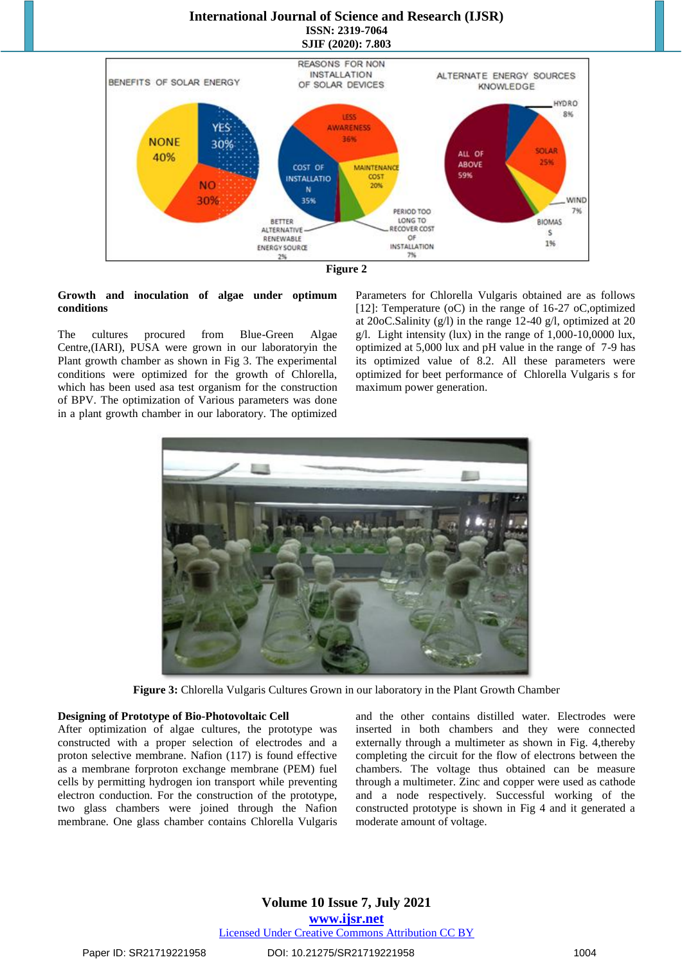

#### **Growth and inoculation of algae under optimum conditions**

The cultures procured from Blue-Green Algae Centre,(IARI), PUSA were grown in our laboratoryin the Plant growth chamber as shown in Fig 3. The experimental conditions were optimized for the growth of Chlorella, which has been used asa test organism for the construction of BPV. The optimization of Various parameters was done in a plant growth chamber in our laboratory. The optimized

Parameters for Chlorella Vulgaris obtained are as follows [12]: Temperature (oC) in the range of 16-27 oC,optimized at 20oC.Salinity (g/l) in the range 12-40 g/l, optimized at 20 g/l. Light intensity (lux) in the range of  $1,000-10,0000$  lux, optimized at 5,000 lux and pH value in the range of 7-9 has its optimized value of 8.2. All these parameters were optimized for beet performance of Chlorella Vulgaris s for maximum power generation.



**Figure 3:** Chlorella Vulgaris Cultures Grown in our laboratory in the Plant Growth Chamber

#### **Designing of Prototype of Bio-Photovoltaic Cell**

After optimization of algae cultures, the prototype was constructed with a proper selection of electrodes and a proton selective membrane. Nafion (117) is found effective as a membrane forproton exchange membrane (PEM) fuel cells by permitting hydrogen ion transport while preventing electron conduction. For the construction of the prototype, two glass chambers were joined through the Nafion membrane. One glass chamber contains Chlorella Vulgaris and the other contains distilled water. Electrodes were inserted in both chambers and they were connected externally through a multimeter as shown in Fig. 4,thereby completing the circuit for the flow of electrons between the chambers. The voltage thus obtained can be measure through a multimeter. Zinc and copper were used as cathode and a node respectively. Successful working of the constructed prototype is shown in Fig 4 and it generated a moderate amount of voltage.

# **Volume 10 Issue 7, July 2021 www.ijsr.net**

#### Licensed Under Creative Commons Attribution CC BY

Paper ID: SR21719221958 **DOI: 10.21275/SR21719221958** 1004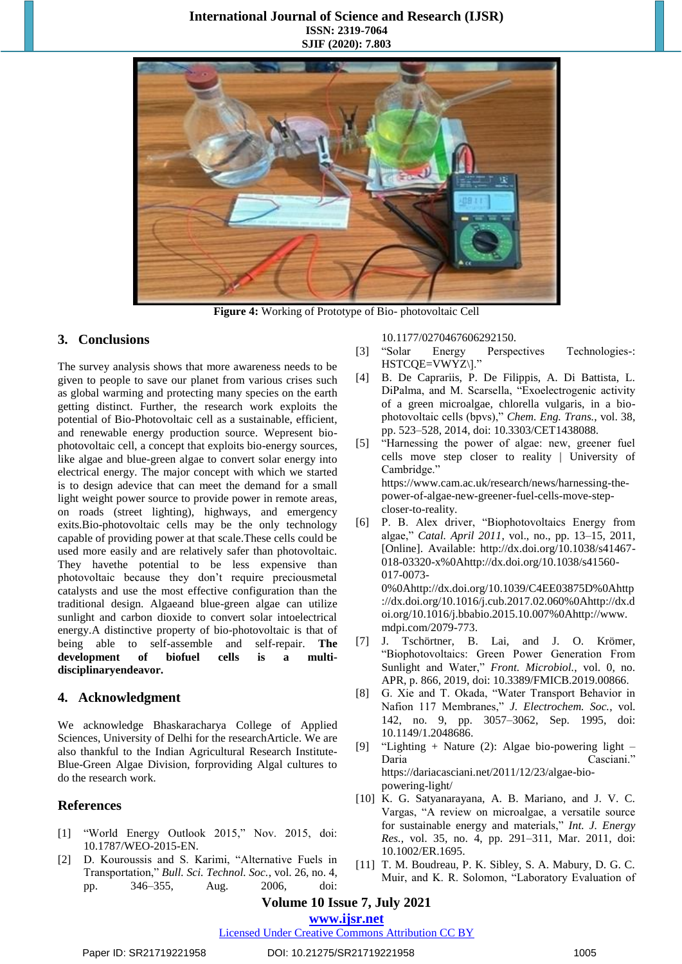

**Figure 4:** Working of Prototype of Bio- photovoltaic Cell

# **3. Conclusions**

The survey analysis shows that more awareness needs to be given to people to save our planet from various crises such as global warming and protecting many species on the earth getting distinct. Further, the research work exploits the potential of Bio-Photovoltaic cell as a sustainable, efficient, and renewable energy production source. Wepresent biophotovoltaic cell, a concept that exploits bio-energy sources, like algae and blue-green algae to convert solar energy into electrical energy. The major concept with which we started is to design adevice that can meet the demand for a small light weight power source to provide power in remote areas, on roads (street lighting), highways, and emergency exits.Bio-photovoltaic cells may be the only technology capable of providing power at that scale.These cells could be used more easily and are relatively safer than photovoltaic. They havethe potential to be less expensive than photovoltaic because they don't require preciousmetal catalysts and use the most effective configuration than the traditional design. Algaeand blue-green algae can utilize sunlight and carbon dioxide to convert solar intoelectrical energy.A distinctive property of bio-photovoltaic is that of being able to self-assemble and self-repair. **The development of biofuel cells is a multidisciplinaryendeavor.**

# **4. Acknowledgment**

We acknowledge Bhaskaracharya College of Applied Sciences, University of Delhi for the researchArticle. We are also thankful to the Indian Agricultural Research Institute-Blue-Green Algae Division, forproviding Algal cultures to do the research work.

# **References**

- [1] "World Energy Outlook 2015," Nov. 2015, doi: 10.1787/WEO-2015-EN.
- [2] D. Kouroussis and S. Karimi, "Alternative Fuels in Transportation," *Bull. Sci. Technol. Soc.*, vol. 26, no. 4, pp. 346–355, Aug. 2006, doi:

10.1177/0270467606292150.

- [3] "Solar Energy Perspectives Technologies-: HSTCQE=VWYZ\]."
- [4] B. De Caprariis, P. De Filippis, A. Di Battista, L. DiPalma, and M. Scarsella, "Exoelectrogenic activity of a green microalgae, chlorella vulgaris, in a biophotovoltaic cells (bpvs)," *Chem. Eng. Trans.*, vol. 38, pp. 523–528, 2014, doi: 10.3303/CET1438088.
- [5] "Harnessing the power of algae: new, greener fuel cells move step closer to reality | University of Cambridge." https://www.cam.ac.uk/research/news/harnessing-thepower-of-algae-new-greener-fuel-cells-move-stepcloser-to-reality.
- [6] P. B. Alex driver, "Biophotovoltaics Energy from algae," *Catal. April 2011*, vol., no., pp. 13–15, 2011, [Online]. Available: http://dx.doi.org/10.1038/s41467- 018-03320-x%0Ahttp://dx.doi.org/10.1038/s41560- 017-0073- 0%0Ahttp://dx.doi.org/10.1039/C4EE03875D%0Ahttp ://dx.doi.org/10.1016/j.cub.2017.02.060%0Ahttp://dx.d oi.org/10.1016/j.bbabio.2015.10.007%0Ahttp://www. mdpi.com/2079-773.
- [7] J. Tschörtner, B. Lai, and J. O. Krömer, "Biophotovoltaics: Green Power Generation From Sunlight and Water," *Front. Microbiol.*, vol. 0, no. APR, p. 866, 2019, doi: 10.3389/FMICB.2019.00866.
- [8] G. Xie and T. Okada, "Water Transport Behavior in Nafion 117 Membranes," *J. Electrochem. Soc.*, vol. 142, no. 9, pp. 3057–3062, Sep. 1995, doi: 10.1149/1.2048686.
- [9] "Lighting + Nature (2): Algae bio-powering light Daria Casciani." https://dariacasciani.net/2011/12/23/algae-biopowering-light/
- [10] K. G. Satyanarayana, A. B. Mariano, and J. V. C. Vargas, "A review on microalgae, a versatile source for sustainable energy and materials," *Int. J. Energy Res.*, vol. 35, no. 4, pp. 291–311, Mar. 2011, doi: 10.1002/ER.1695.
- [11] T. M. Boudreau, P. K. Sibley, S. A. Mabury, D. G. C. Muir, and K. R. Solomon, "Laboratory Evaluation of

# **Volume 10 Issue 7, July 2021**

#### **www.ijsr.net**

# Licensed Under Creative Commons Attribution CC BY